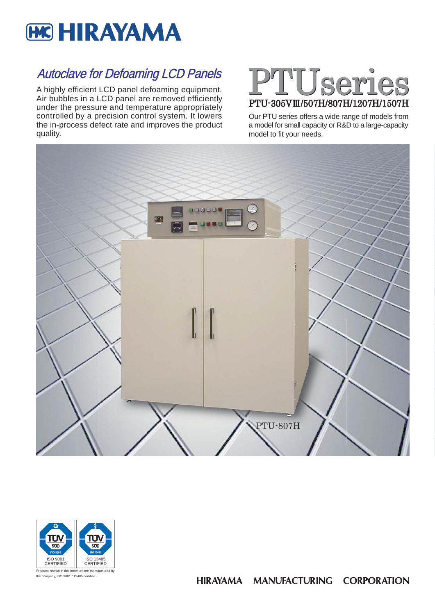

# Autoclave for Defoaming LCD Panels

A highly efficient LCD panel defoaming equipment. Air bubbles in a LCD panel are removed efficiently under the pressure and temperature appropriately controlled by a precision control system. It lowers the in-process defect rate and improves the product quality.

# PTUseries PTU-305V Ⅲ/507H/807H/1207H/1507H

Our PTU series offers a wide range of models from a model for small capacity or R&D to a large-capacity model to fit your needs.



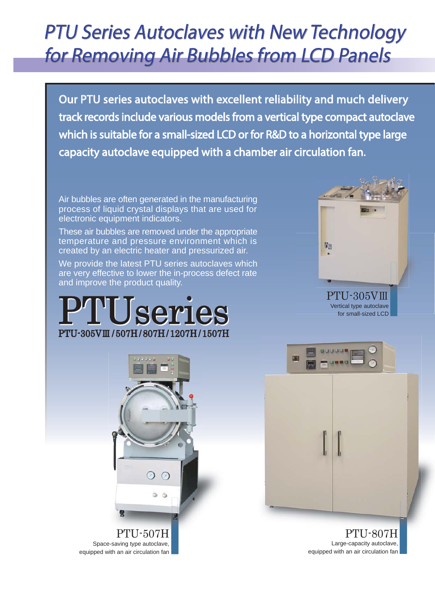# PTU Series Autoclaves with New Technology PTU Series Autoclaves with New Technology for Removing Air Bubbles from LCD Panelsfor Removing Air Bubbles from LCD Panels

Our PTU series autoclaves with excellent reliability and much delivery track records include various models from a vertical type compact autoclave which is suitable for a small-sized LCD or for R&D to a horizontal type large capacity autoclave equipped with a chamber air circulation fan.

Air bubbles are often generated in the manufacturing process of liquid crystal displays that are used for electronic equipment indicators.

These air bubbles are removed under the appropriate temperature and pressure environment which is created by an electric heater and pressurized air.

We provide the latest PTU series autoclaves which are very effective to lower the in-process defect rate and improve the product quality.









PTU-807H Large-capacity autoclave, equipped with an air circulation fan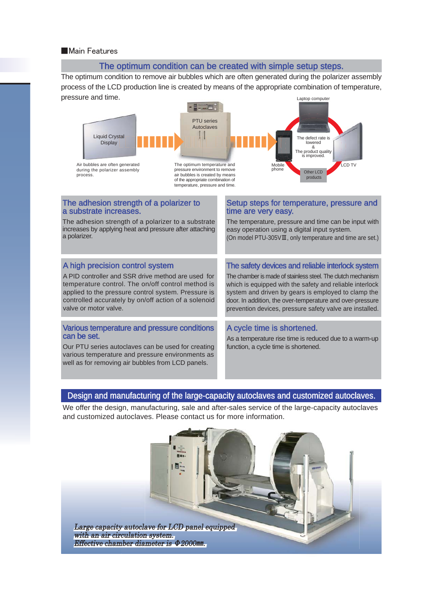#### ■ Main Features

#### The optimum condition can be created with simple setup steps.

The optimum condition to remove air bubbles which are often generated during the polarizer assembly process of the LCD production line is created by means of the appropriate combination of temperature, pressure and time. Laptop computer



#### The adhesion strength of a polarizer to a substrate increases.

The adhesion strength of a polarizer to a substrate increases by applying heat and pressure after attaching a polarizer.

#### A high precision control system

A PID controller and SSR drive method are used for temperature control. The on/off control method is applied to the pressure control system. Pressure is controlled accurately by on/off action of a solenoid valve or motor valve.

#### Various temperature and pressure conditions can be set.

Our PTU series autoclaves can be used for creating various temperature and pressure environments as well as for removing air bubbles from LCD panels.

#### Setup steps for temperature, pressure and time are very easy.

The temperature, pressure and time can be input with easy operation using a digital input system. (On model PTU-305VⅢ, only temperature and time are set.)

#### The safety devices and reliable interlock system

The chamber is made of stainless steel. The clutch mechanism which is equipped with the safety and reliable interlock system and driven by gears is employed to clamp the door. In addition, the over-temperature and over-pressure prevention devices, pressure safety valve are installed.

#### A cycle time is shortened.

As a temperature rise time is reduced due to a warm-up function, a cycle time is shortened.

### Design and manufacturing of the large-capacity autoclaves and customized autoclaves.

We offer the design, manufacturing, sale and after-sales service of the large-capacity autoclaves and customized autoclaves. Please contact us for more information.